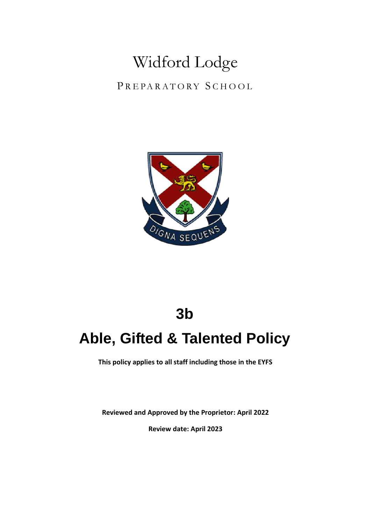# Widford Lodge PREPARATORY SCHOOL



# **3b**

# **Able, Gifted & Talented Policy**

**This policy applies to all staff including those in the EYFS**

**Reviewed and Approved by the Proprietor: April 2022**

**Review date: April 2023**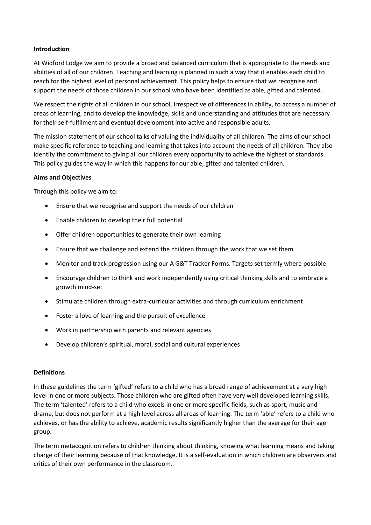#### **Introduction**

At Widford Lodge we aim to provide a broad and balanced curriculum that is appropriate to the needs and abilities of all of our children. Teaching and learning is planned in such a way that it enables each child to reach for the highest level of personal achievement. This policy helps to ensure that we recognise and support the needs of those children in our school who have been identified as able, gifted and talented.

We respect the rights of all children in our school, irrespective of differences in ability, to access a number of areas of learning, and to develop the knowledge, skills and understanding and attitudes that are necessary for their self-fulfilment and eventual development into active and responsible adults.

The mission statement of our school talks of valuing the individuality of all children. The aims of our school make specific reference to teaching and learning that takes into account the needs of all children. They also identify the commitment to giving all our children every opportunity to achieve the highest of standards. This policy guides the way in which this happens for our able, gifted and talented children.

#### **Aims and Objectives**

Through this policy we aim to:

- Ensure that we recognise and support the needs of our children
- Enable children to develop their full potential
- Offer children opportunities to generate their own learning
- Ensure that we challenge and extend the children through the work that we set them
- Monitor and track progression using our A G&T Tracker Forms. Targets set termly where possible
- Encourage children to think and work independently using critical thinking skills and to embrace a growth mind-set
- Stimulate children through extra-curricular activities and through curriculum enrichment
- Foster a love of learning and the pursuit of excellence
- Work in partnership with parents and relevant agencies
- Develop children's spiritual, moral, social and cultural experiences

# **Definitions**

In these guidelines the term 'gifted' refers to a child who has a broad range of achievement at a very high level in one or more subjects. Those children who are gifted often have very well developed learning skills. The term 'talented' refers to a child who excels in one or more specific fields, such as sport, music and drama, but does not perform at a high level across all areas of learning. The term 'able' refers to a child who achieves, or has the ability to achieve, academic results significantly higher than the average for their age group.

The term metacognition refers to children thinking about thinking, knowing what learning means and taking charge of their learning because of that knowledge. It is a self-evaluation in which children are observers and critics of their own performance in the classroom.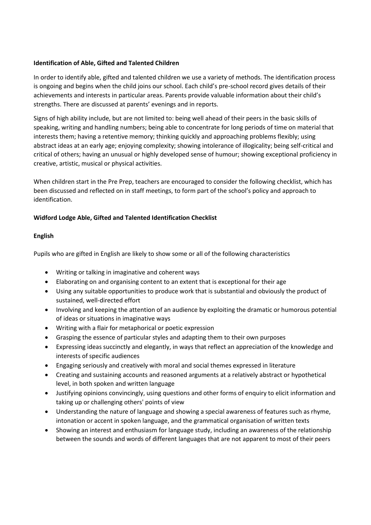# **Identification of Able, Gifted and Talented Children**

In order to identify able, gifted and talented children we use a variety of methods. The identification process is ongoing and begins when the child joins our school. Each child's pre-school record gives details of their achievements and interests in particular areas. Parents provide valuable information about their child's strengths. There are discussed at parents' evenings and in reports.

Signs of high ability include, but are not limited to: being well ahead of their peers in the basic skills of speaking, writing and handling numbers; being able to concentrate for long periods of time on material that interests them; having a retentive memory; thinking quickly and approaching problems flexibly; using abstract ideas at an early age; enjoying complexity; showing intolerance of illogicality; being self-critical and critical of others; having an unusual or highly developed sense of humour; showing exceptional proficiency in creative, artistic, musical or physical activities.

When children start in the Pre Prep, teachers are encouraged to consider the following checklist, which has been discussed and reflected on in staff meetings, to form part of the school's policy and approach to identification.

#### **Widford Lodge Able, Gifted and Talented Identification Checklist**

#### **English**

Pupils who are gifted in English are likely to show some or all of the following characteristics

- Writing or talking in imaginative and coherent ways
- Elaborating on and organising content to an extent that is exceptional for their age
- Using any suitable opportunities to produce work that is substantial and obviously the product of sustained, well-directed effort
- Involving and keeping the attention of an audience by exploiting the dramatic or humorous potential of ideas or situations in imaginative ways
- Writing with a flair for metaphorical or poetic expression
- Grasping the essence of particular styles and adapting them to their own purposes
- Expressing ideas succinctly and elegantly, in ways that reflect an appreciation of the knowledge and interests of specific audiences
- Engaging seriously and creatively with moral and social themes expressed in literature
- Creating and sustaining accounts and reasoned arguments at a relatively abstract or hypothetical level, in both spoken and written language
- Justifying opinions convincingly, using questions and other forms of enquiry to elicit information and taking up or challenging others' points of view
- Understanding the nature of language and showing a special awareness of features such as rhyme, intonation or accent in spoken language, and the grammatical organisation of written texts
- Showing an interest and enthusiasm for language study, including an awareness of the relationship between the sounds and words of different languages that are not apparent to most of their peers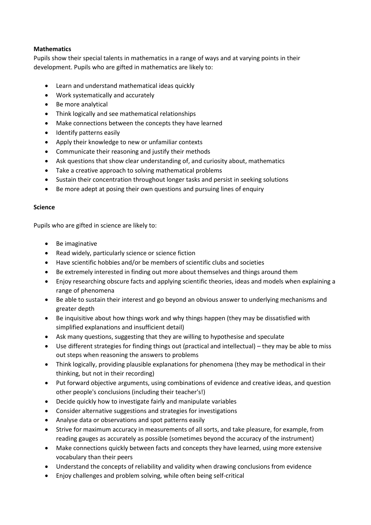# **Mathematics**

Pupils show their special talents in mathematics in a range of ways and at varying points in their development. Pupils who are gifted in mathematics are likely to:

- Learn and understand mathematical ideas quickly
- Work systematically and accurately
- Be more analytical
- Think logically and see mathematical relationships
- Make connections between the concepts they have learned
- Identify patterns easily
- Apply their knowledge to new or unfamiliar contexts
- Communicate their reasoning and justify their methods
- Ask questions that show clear understanding of, and curiosity about, mathematics
- Take a creative approach to solving mathematical problems
- Sustain their concentration throughout longer tasks and persist in seeking solutions
- Be more adept at posing their own questions and pursuing lines of enquiry

#### **Science**

Pupils who are gifted in science are likely to:

- Be imaginative
- Read widely, particularly science or science fiction
- Have scientific hobbies and/or be members of scientific clubs and societies
- Be extremely interested in finding out more about themselves and things around them
- Enjoy researching obscure facts and applying scientific theories, ideas and models when explaining a range of phenomena
- Be able to sustain their interest and go beyond an obvious answer to underlying mechanisms and greater depth
- Be inquisitive about how things work and why things happen (they may be dissatisfied with simplified explanations and insufficient detail)
- Ask many questions, suggesting that they are willing to hypothesise and speculate
- Use different strategies for finding things out (practical and intellectual) they may be able to miss out steps when reasoning the answers to problems
- Think logically, providing plausible explanations for phenomena (they may be methodical in their thinking, but not in their recording)
- Put forward objective arguments, using combinations of evidence and creative ideas, and question other people's conclusions (including their teacher's!)
- Decide quickly how to investigate fairly and manipulate variables
- Consider alternative suggestions and strategies for investigations
- Analyse data or observations and spot patterns easily
- Strive for maximum accuracy in measurements of all sorts, and take pleasure, for example, from reading gauges as accurately as possible (sometimes beyond the accuracy of the instrument)
- Make connections quickly between facts and concepts they have learned, using more extensive vocabulary than their peers
- Understand the concepts of reliability and validity when drawing conclusions from evidence
- Enjoy challenges and problem solving, while often being self-critical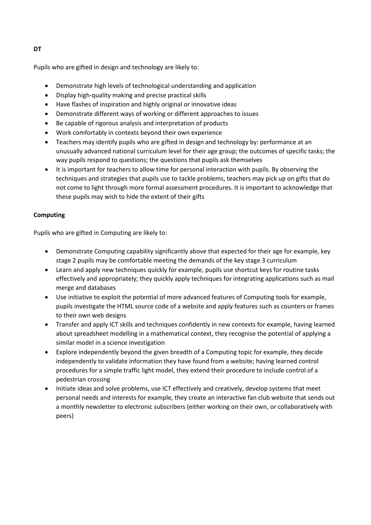Pupils who are gifted in design and technology are likely to:

- Demonstrate high levels of technological understanding and application
- Display high-quality making and precise practical skills
- Have flashes of inspiration and highly original or innovative ideas
- Demonstrate different ways of working or different approaches to issues
- Be capable of rigorous analysis and interpretation of products
- Work comfortably in contexts beyond their own experience
- Teachers may identify pupils who are gifted in design and technology by: performance at an unusually advanced national curriculum level for their age group; the outcomes of specific tasks; the way pupils respond to questions; the questions that pupils ask themselves
- It is important for teachers to allow time for personal interaction with pupils. By observing the techniques and strategies that pupils use to tackle problems, teachers may pick up on gifts that do not come to light through more formal assessment procedures. It is important to acknowledge that these pupils may wish to hide the extent of their gifts

# **Computing**

Pupils who are gifted in Computing are likely to:

- Demonstrate Computing capability significantly above that expected for their age for example, key stage 2 pupils may be comfortable meeting the demands of the key stage 3 curriculum
- Learn and apply new techniques quickly for example, pupils use shortcut keys for routine tasks effectively and appropriately; they quickly apply techniques for integrating applications such as mail merge and databases
- Use initiative to exploit the potential of more advanced features of Computing tools for example, pupils investigate the HTML source code of a website and apply features such as counters or frames to their own web designs
- Transfer and apply ICT skills and techniques confidently in new contexts for example, having learned about spreadsheet modelling in a mathematical context, they recognise the potential of applying a similar model in a science investigation
- Explore independently beyond the given breadth of a Computing topic for example, they decide independently to validate information they have found from a website; having learned control procedures for a simple traffic light model, they extend their procedure to include control of a pedestrian crossing
- Initiate ideas and solve problems, use ICT effectively and creatively, develop systems that meet personal needs and interests for example, they create an interactive fan club website that sends out a monthly newsletter to electronic subscribers (either working on their own, or collaboratively with peers)

**DT**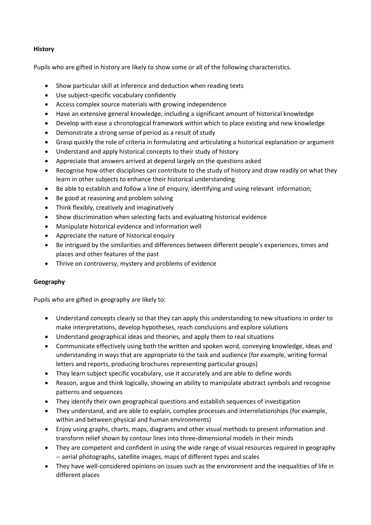#### **History**

Pupils who are gifted in history are likely to show some or all of the following characteristics.

- Show particular skill at inference and deduction when reading texts
- Use subject-specific vocabulary confidently
- Access complex source materials with growing independence
- Have an extensive general knowledge, including a significant amount of historical knowledge
- Develop with ease a chronological framework within which to place existing and new knowledge
- Demonstrate a strong sense of period as a result of study
- Grasp quickly the role of criteria in formulating and articulating a historical explanation or argument
- Understand and apply historical concepts to their study of history
- Appreciate that answers arrived at depend largely on the questions asked
- Recognise how other disciplines can contribute to the study of history and draw readily on what they learn in other subjects to enhance their historical understanding
- Be able to establish and follow a line of enquiry, identifying and using relevant information;
- Be good at reasoning and problem solving
- Think flexibly, creatively and imaginatively
- Show discrimination when selecting facts and evaluating historical evidence
- Manipulate historical evidence and information well
- Appreciate the nature of historical enquiry
- Be intrigued by the similarities and differences between different people's experiences, times and places and other features of the past
- Thrive on controversy, mystery and problems of evidence

# **Geography**

Pupils who are gifted in geography are likely to:

- Understand concepts clearly so that they can apply this understanding to new situations in order to make interpretations, develop hypotheses, reach conclusions and explore solutions
- Understand geographical ideas and theories, and apply them to real situations
- Communicate effectively using both the written and spoken word, conveying knowledge, ideas and understanding in ways that are appropriate to the task and audience (for example, writing formal letters and reports, producing brochures representing particular groups)
- They learn subject specific vocabulary, use it accurately and are able to define words
- Reason, argue and think logically, showing an ability to manipulate abstract symbols and recognise patterns and sequences
- They identify their own geographical questions and establish sequences of investigation
- They understand, and are able to explain, complex processes and interrelationships (for example, within and between physical and human environments)
- Enjoy using graphs, charts, maps, diagrams and other visual methods to present information and transform relief shown by contour lines into three-dimensional models in their minds
- They are competent and confident in using the wide range of visual resources required in geography -- aerial photographs, satellite images, maps of different types and scales
- They have well-considered opinions on issues such as the environment and the inequalities of life in different places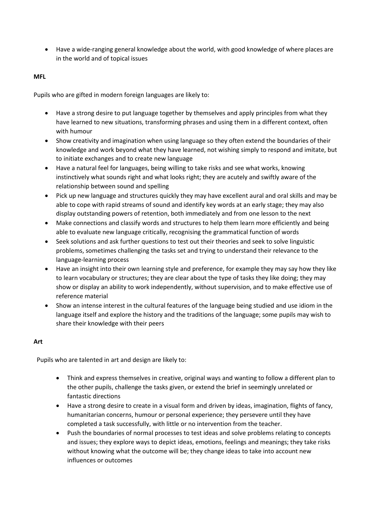Have a wide-ranging general knowledge about the world, with good knowledge of where places are in the world and of topical issues

# **MFL**

Pupils who are gifted in modern foreign languages are likely to:

- Have a strong desire to put language together by themselves and apply principles from what they have learned to new situations, transforming phrases and using them in a different context, often with humour
- Show creativity and imagination when using language so they often extend the boundaries of their knowledge and work beyond what they have learned, not wishing simply to respond and imitate, but to initiate exchanges and to create new language
- Have a natural feel for languages, being willing to take risks and see what works, knowing instinctively what sounds right and what looks right; they are acutely and swiftly aware of the relationship between sound and spelling
- Pick up new language and structures quickly they may have excellent aural and oral skills and may be able to cope with rapid streams of sound and identify key words at an early stage; they may also display outstanding powers of retention, both immediately and from one lesson to the next
- Make connections and classify words and structures to help them learn more efficiently and being able to evaluate new language critically, recognising the grammatical function of words
- Seek solutions and ask further questions to test out their theories and seek to solve linguistic problems, sometimes challenging the tasks set and trying to understand their relevance to the language-learning process
- Have an insight into their own learning style and preference, for example they may say how they like to learn vocabulary or structures; they are clear about the type of tasks they like doing; they may show or display an ability to work independently, without supervision, and to make effective use of reference material
- Show an intense interest in the cultural features of the language being studied and use idiom in the language itself and explore the history and the traditions of the language; some pupils may wish to share their knowledge with their peers

# **Art**

Pupils who are talented in art and design are likely to:

- Think and express themselves in creative, original ways and wanting to follow a different plan to the other pupils, challenge the tasks given, or extend the brief in seemingly unrelated or fantastic directions
- Have a strong desire to create in a visual form and driven by ideas, imagination, flights of fancy, humanitarian concerns, humour or personal experience; they persevere until they have completed a task successfully, with little or no intervention from the teacher.
- Push the boundaries of normal processes to test ideas and solve problems relating to concepts and issues; they explore ways to depict ideas, emotions, feelings and meanings; they take risks without knowing what the outcome will be; they change ideas to take into account new influences or outcomes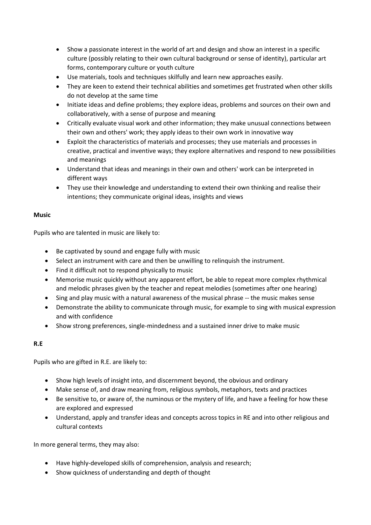- Show a passionate interest in the world of art and design and show an interest in a specific culture (possibly relating to their own cultural background or sense of identity), particular art forms, contemporary culture or youth culture
- Use materials, tools and techniques skilfully and learn new approaches easily.
- They are keen to extend their technical abilities and sometimes get frustrated when other skills do not develop at the same time
- Initiate ideas and define problems; they explore ideas, problems and sources on their own and collaboratively, with a sense of purpose and meaning
- Critically evaluate visual work and other information; they make unusual connections between their own and others' work; they apply ideas to their own work in innovative way
- Exploit the characteristics of materials and processes; they use materials and processes in creative, practical and inventive ways; they explore alternatives and respond to new possibilities and meanings
- Understand that ideas and meanings in their own and others' work can be interpreted in different ways
- They use their knowledge and understanding to extend their own thinking and realise their intentions; they communicate original ideas, insights and views

# **Music**

Pupils who are talented in music are likely to:

- Be captivated by sound and engage fully with music
- Select an instrument with care and then be unwilling to relinquish the instrument.
- Find it difficult not to respond physically to music
- Memorise music quickly without any apparent effort, be able to repeat more complex rhythmical and melodic phrases given by the teacher and repeat melodies (sometimes after one hearing)
- Sing and play music with a natural awareness of the musical phrase -- the music makes sense
- Demonstrate the ability to communicate through music, for example to sing with musical expression and with confidence
- Show strong preferences, single-mindedness and a sustained inner drive to make music

# **R.E**

Pupils who are gifted in R.E. are likely to:

- Show high levels of insight into, and discernment beyond, the obvious and ordinary
- Make sense of, and draw meaning from, religious symbols, metaphors, texts and practices
- Be sensitive to, or aware of, the numinous or the mystery of life, and have a feeling for how these are explored and expressed
- Understand, apply and transfer ideas and concepts across topics in RE and into other religious and cultural contexts

In more general terms, they may also:

- Have highly-developed skills of comprehension, analysis and research;
- Show quickness of understanding and depth of thought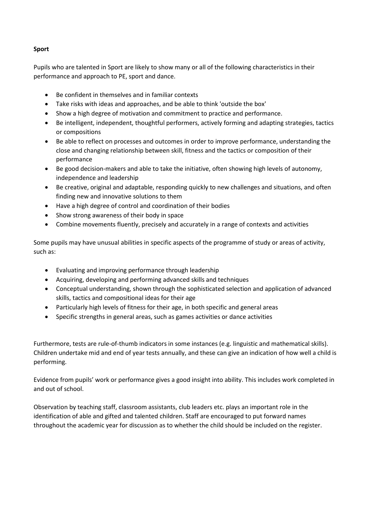# **Sport**

Pupils who are talented in Sport are likely to show many or all of the following characteristics in their performance and approach to PE, sport and dance.

- Be confident in themselves and in familiar contexts
- Take risks with ideas and approaches, and be able to think 'outside the box'
- Show a high degree of motivation and commitment to practice and performance.
- Be intelligent, independent, thoughtful performers, actively forming and adapting strategies, tactics or compositions
- Be able to reflect on processes and outcomes in order to improve performance, understanding the close and changing relationship between skill, fitness and the tactics or composition of their performance
- Be good decision-makers and able to take the initiative, often showing high levels of autonomy, independence and leadership
- Be creative, original and adaptable, responding quickly to new challenges and situations, and often finding new and innovative solutions to them
- Have a high degree of control and coordination of their bodies
- Show strong awareness of their body in space
- Combine movements fluently, precisely and accurately in a range of contexts and activities

Some pupils may have unusual abilities in specific aspects of the programme of study or areas of activity, such as:

- Evaluating and improving performance through leadership
- Acquiring, developing and performing advanced skills and techniques
- Conceptual understanding, shown through the sophisticated selection and application of advanced skills, tactics and compositional ideas for their age
- Particularly high levels of fitness for their age, in both specific and general areas
- Specific strengths in general areas, such as games activities or dance activities

Furthermore, tests are rule-of-thumb indicators in some instances (e.g. linguistic and mathematical skills). Children undertake mid and end of year tests annually, and these can give an indication of how well a child is performing.

Evidence from pupils' work or performance gives a good insight into ability. This includes work completed in and out of school.

Observation by teaching staff, classroom assistants, club leaders etc. plays an important role in the identification of able and gifted and talented children. Staff are encouraged to put forward names throughout the academic year for discussion as to whether the child should be included on the register.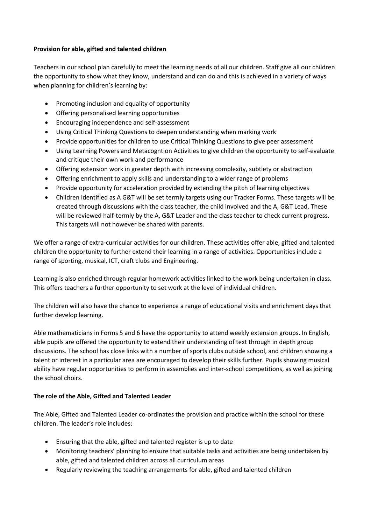# **Provision for able, gifted and talented children**

Teachers in our school plan carefully to meet the learning needs of all our children. Staff give all our children the opportunity to show what they know, understand and can do and this is achieved in a variety of ways when planning for children's learning by:

- Promoting inclusion and equality of opportunity
- Offering personalised learning opportunities
- Encouraging independence and self-assessment
- Using Critical Thinking Questions to deepen understanding when marking work
- Provide opportunities for children to use Critical Thinking Questions to give peer assessment
- Using Learning Powers and Metacogntion Activities to give children the opportunity to self-evaluate and critique their own work and performance
- Offering extension work in greater depth with increasing complexity, subtlety or abstraction
- Offering enrichment to apply skills and understanding to a wider range of problems
- Provide opportunity for acceleration provided by extending the pitch of learning objectives
- Children identified as A G&T will be set termly targets using our Tracker Forms. These targets will be created through discussions with the class teacher, the child involved and the A, G&T Lead. These will be reviewed half-termly by the A, G&T Leader and the class teacher to check current progress. This targets will not however be shared with parents.

We offer a range of extra-curricular activities for our children. These activities offer able, gifted and talented children the opportunity to further extend their learning in a range of activities. Opportunities include a range of sporting, musical, ICT, craft clubs and Engineering.

Learning is also enriched through regular homework activities linked to the work being undertaken in class. This offers teachers a further opportunity to set work at the level of individual children.

The children will also have the chance to experience a range of educational visits and enrichment days that further develop learning.

Able mathematicians in Forms 5 and 6 have the opportunity to attend weekly extension groups. In English, able pupils are offered the opportunity to extend their understanding of text through in depth group discussions. The school has close links with a number of sports clubs outside school, and children showing a talent or interest in a particular area are encouraged to develop their skills further. Pupils showing musical ability have regular opportunities to perform in assemblies and inter-school competitions, as well as joining the school choirs.

# **The role of the Able, Gifted and Talented Leader**

The Able, Gifted and Talented Leader co-ordinates the provision and practice within the school for these children. The leader's role includes:

- Ensuring that the able, gifted and talented register is up to date
- Monitoring teachers' planning to ensure that suitable tasks and activities are being undertaken by able, gifted and talented children across all curriculum areas
- Regularly reviewing the teaching arrangements for able, gifted and talented children